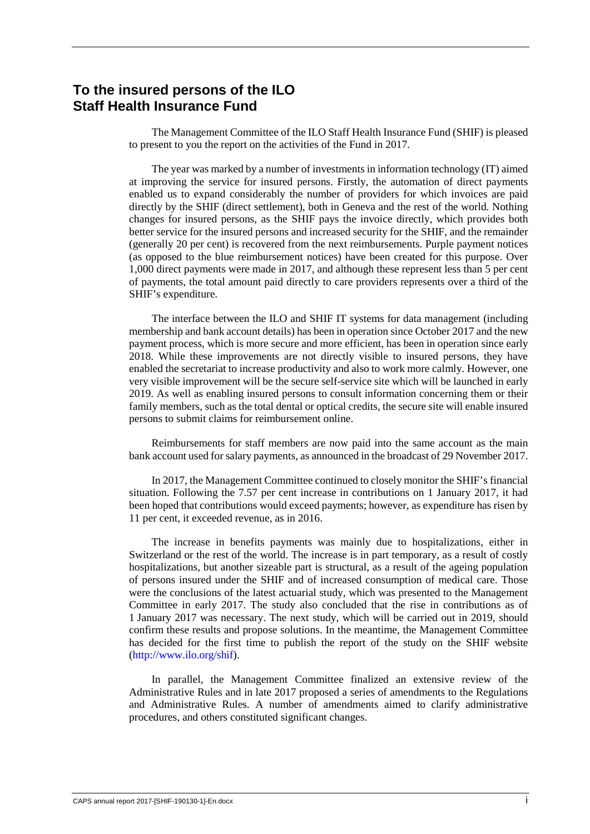## **To the insured persons of the ILO Staff Health Insurance Fund**

The Management Committee of the ILO Staff Health Insurance Fund (SHIF) is pleased to present to you the report on the activities of the Fund in 2017.

The year was marked by a number of investments in information technology (IT) aimed at improving the service for insured persons. Firstly, the automation of direct payments enabled us to expand considerably the number of providers for which invoices are paid directly by the SHIF (direct settlement), both in Geneva and the rest of the world. Nothing changes for insured persons, as the SHIF pays the invoice directly, which provides both better service for the insured persons and increased security for the SHIF, and the remainder (generally 20 per cent) is recovered from the next reimbursements. Purple payment notices (as opposed to the blue reimbursement notices) have been created for this purpose. Over 1,000 direct payments were made in 2017, and although these represent less than 5 per cent of payments, the total amount paid directly to care providers represents over a third of the SHIF's expenditure.

The interface between the ILO and SHIF IT systems for data management (including membership and bank account details) has been in operation since October 2017 and the new payment process, which is more secure and more efficient, has been in operation since early 2018. While these improvements are not directly visible to insured persons, they have enabled the secretariat to increase productivity and also to work more calmly. However, one very visible improvement will be the secure self-service site which will be launched in early 2019. As well as enabling insured persons to consult information concerning them or their family members, such as the total dental or optical credits, the secure site will enable insured persons to submit claims for reimbursement online.

Reimbursements for staff members are now paid into the same account as the main bank account used for salary payments, as announced in the broadcast of 29 November 2017.

In 2017, the Management Committee continued to closely monitor the SHIF's financial situation. Following the 7.57 per cent increase in contributions on 1 January 2017, it had been hoped that contributions would exceed payments; however, as expenditure has risen by 11 per cent, it exceeded revenue, as in 2016.

The increase in benefits payments was mainly due to hospitalizations, either in Switzerland or the rest of the world. The increase is in part temporary, as a result of costly hospitalizations, but another sizeable part is structural, as a result of the ageing population of persons insured under the SHIF and of increased consumption of medical care. Those were the conclusions of the latest actuarial study, which was presented to the Management Committee in early 2017. The study also concluded that the rise in contributions as of 1 January 2017 was necessary. The next study, which will be carried out in 2019, should confirm these results and propose solutions. In the meantime, the Management Committee has decided for the first time to publish the report of the study on the SHIF website [\(http://www.ilo.org/shif\)](http://www.ilo.org/shif).

In parallel, the Management Committee finalized an extensive review of the Administrative Rules and in late 2017 proposed a series of amendments to the Regulations and Administrative Rules. A number of amendments aimed to clarify administrative procedures, and others constituted significant changes.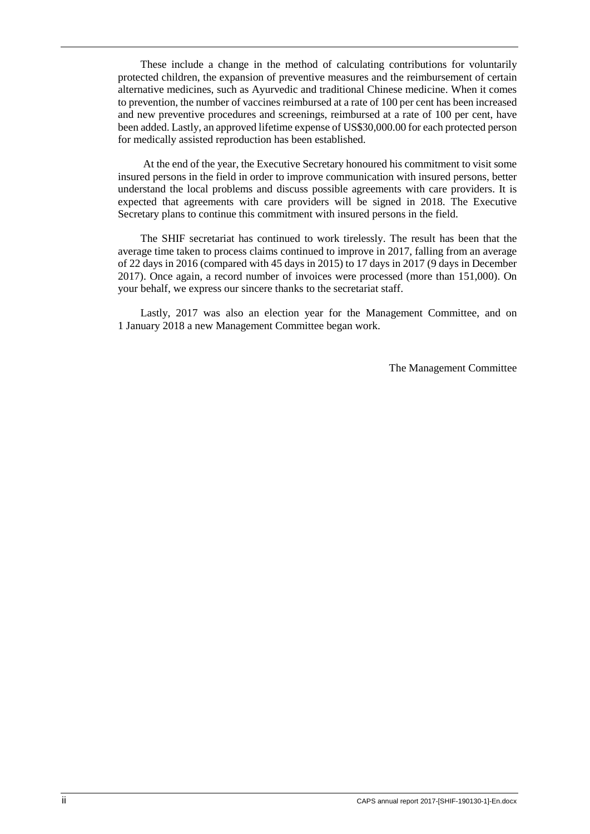These include a change in the method of calculating contributions for voluntarily protected children, the expansion of preventive measures and the reimbursement of certain alternative medicines, such as Ayurvedic and traditional Chinese medicine. When it comes to prevention, the number of vaccines reimbursed at a rate of 100 per cent has been increased and new preventive procedures and screenings, reimbursed at a rate of 100 per cent, have been added. Lastly, an approved lifetime expense of US\$30,000.00 for each protected person for medically assisted reproduction has been established.

At the end of the year, the Executive Secretary honoured his commitment to visit some insured persons in the field in order to improve communication with insured persons, better understand the local problems and discuss possible agreements with care providers. It is expected that agreements with care providers will be signed in 2018. The Executive Secretary plans to continue this commitment with insured persons in the field.

The SHIF secretariat has continued to work tirelessly. The result has been that the average time taken to process claims continued to improve in 2017, falling from an average of 22 days in 2016 (compared with 45 days in 2015) to 17 days in 2017 (9 days in December 2017). Once again, a record number of invoices were processed (more than 151,000). On your behalf, we express our sincere thanks to the secretariat staff.

Lastly, 2017 was also an election year for the Management Committee, and on 1 January 2018 a new Management Committee began work.

The Management Committee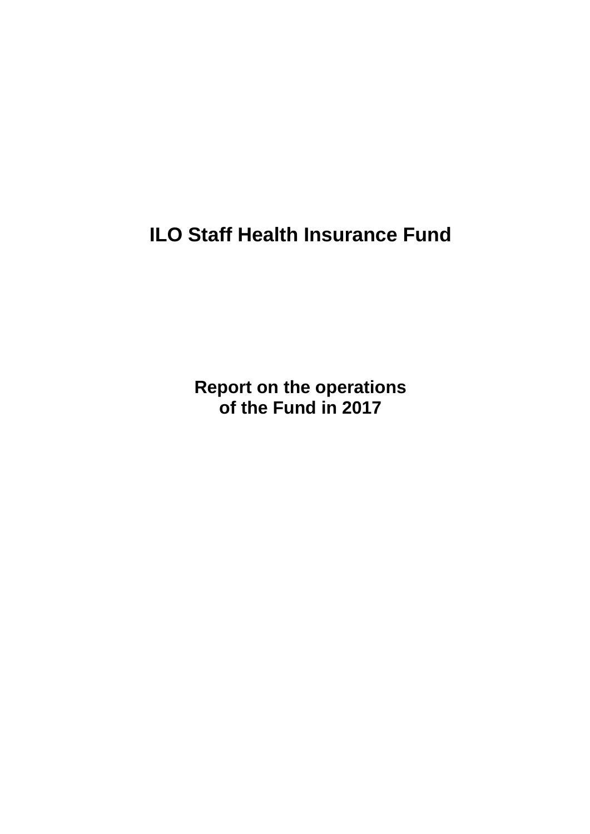**ILO Staff Health Insurance Fund**

**Report on the operations of the Fund in 2017**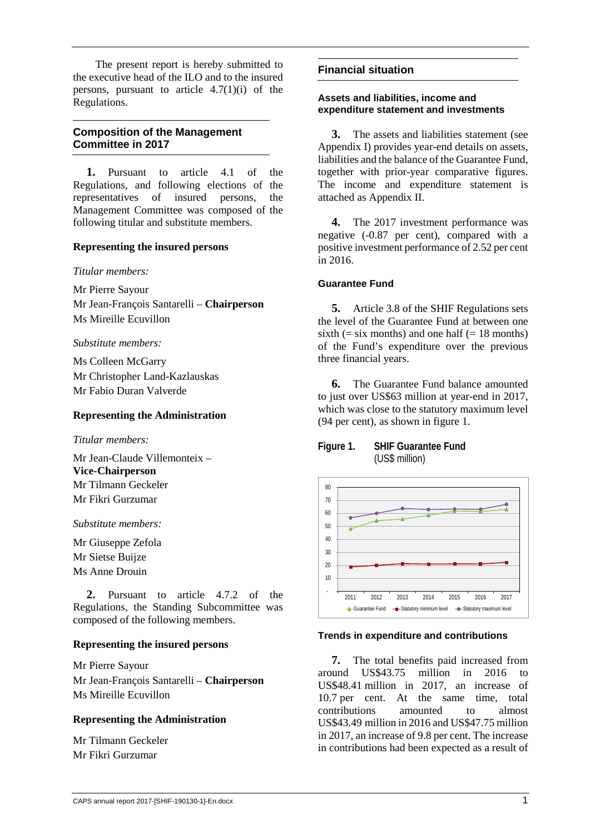The present report is hereby submitted to the executive head of the ILO and to the insured persons, pursuant to article  $4.7(1)(i)$  of the Regulations.

## **Composition of the Management Committee in 2017**

**1.** Pursuant to article 4.1 of the Regulations, and following elections of the representatives of insured persons, the Management Committee was composed of the following titular and substitute members.

#### **Representing the insured persons**

*Titular members:*

Mr Pierre Sayour

Mr Jean-François Santarelli – **Chairperson** Ms Mireille Ecuvillon

*Substitute members:*

Ms Colleen McGarry Mr Christopher Land-Kazlauskas Mr Fabio Duran Valverde

#### **Representing the Administration**

*Titular members:*

Mr Jean-Claude Villemonteix – **Vice-Chairperson** Mr Tilmann Geckeler Mr Fikri Gurzumar

*Substitute members:*

Mr Giuseppe Zefola Mr Sietse Buijze Ms Anne Drouin

**2.** Pursuant to article 4.7.2 of the Regulations, the Standing Subcommittee was composed of the following members.

#### **Representing the insured persons**

Mr Pierre Sayour Mr Jean-François Santarelli – **Chairperson** Ms Mireille Ecuvillon

### **Representing the Administration**

Mr Tilmann Geckeler Mr Fikri Gurzumar

#### **Financial situation**

#### **Assets and liabilities, income and expenditure statement and investments**

**3.** The assets and liabilities statement (see Appendix I) provides year-end details on assets, liabilities and the balance of the Guarantee Fund, together with prior-year comparative figures. The income and expenditure statement is attached as Appendix II.

**4.** The 2017 investment performance was negative (-0.87 per cent), compared with a positive investment performance of 2.52 per cent in 2016.

#### **Guarantee Fund**

**5.** Article 3.8 of the SHIF Regulations sets the level of the Guarantee Fund at between one sixth (= six months) and one half (= 18 months) of the Fund's expenditure over the previous three financial years.

**6.** The Guarantee Fund balance amounted to just over US\$63 million at year-end in 2017, which was close to the statutory maximum level (94 per cent), as shown in figure 1.

#### **Figure 1. SHIF Guarantee Fund** (US\$ million)



#### **Trends in expenditure and contributions**

**7.** The total benefits paid increased from around US\$43.75 million in 2016 to US\$48.41 million in 2017, an increase of 10.7 per cent. At the same time, total<br>contributions amounted to almost contributions amounted to almost US\$43.49 million in 2016 and US\$47.75 million in 2017, an increase of 9.8 per cent. The increase in contributions had been expected as a result of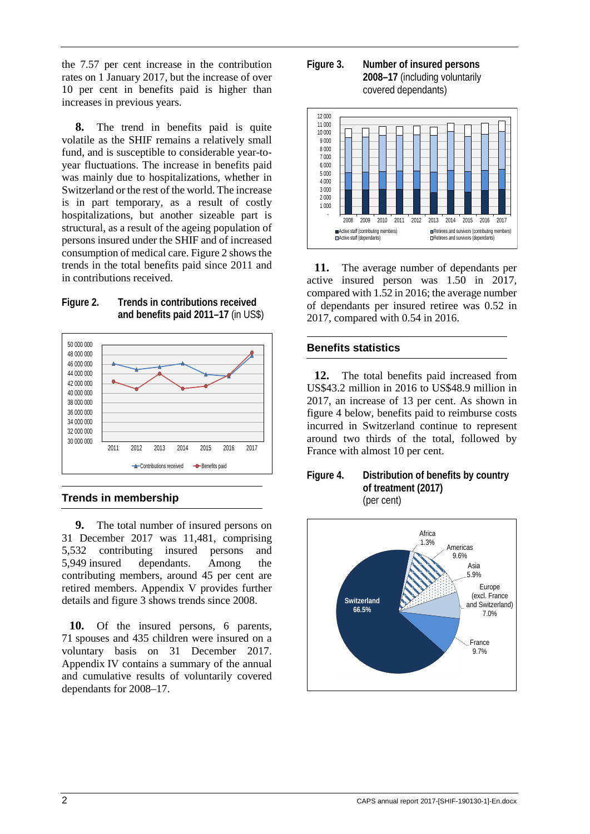the 7.57 per cent increase in the contribution rates on 1 January 2017, but the increase of over 10 per cent in benefits paid is higher than increases in previous years.

**8.** The trend in benefits paid is quite volatile as the SHIF remains a relatively small fund, and is susceptible to considerable year-toyear fluctuations. The increase in benefits paid was mainly due to hospitalizations, whether in Switzerland or the rest of the world. The increase is in part temporary, as a result of costly hospitalizations, but another sizeable part is structural, as a result of the ageing population of persons insured under the SHIF and of increased consumption of medical care. Figure 2 shows the trends in the total benefits paid since 2011 and in contributions received.





### **Trends in membership**

**9.** The total number of insured persons on 31 December 2017 was 11,481, comprising 5,532 contributing insured persons and 5,949 insured dependants. Among the contributing members, around 45 per cent are retired members. Appendix V provides further details and figure 3 shows trends since 2008.

**10.** Of the insured persons, 6 parents, 71 spouses and 435 children were insured on a voluntary basis on 31 December 2017. Appendix IV contains a summary of the annual and cumulative results of voluntarily covered dependants for 2008–17.

**Figure 3. Number of insured persons 2008–17** (including voluntarily covered dependants)



**11.** The average number of dependants per active insured person was 1.50 in 2017, compared with 1.52 in 2016; the average number of dependants per insured retiree was 0.52 in 2017, compared with 0.54 in 2016.

### **Benefits statistics**

**12.** The total benefits paid increased from US\$43.2 million in 2016 to US\$48.9 million in 2017, an increase of 13 per cent. As shown in figure 4 below, benefits paid to reimburse costs incurred in Switzerland continue to represent around two thirds of the total, followed by France with almost 10 per cent.



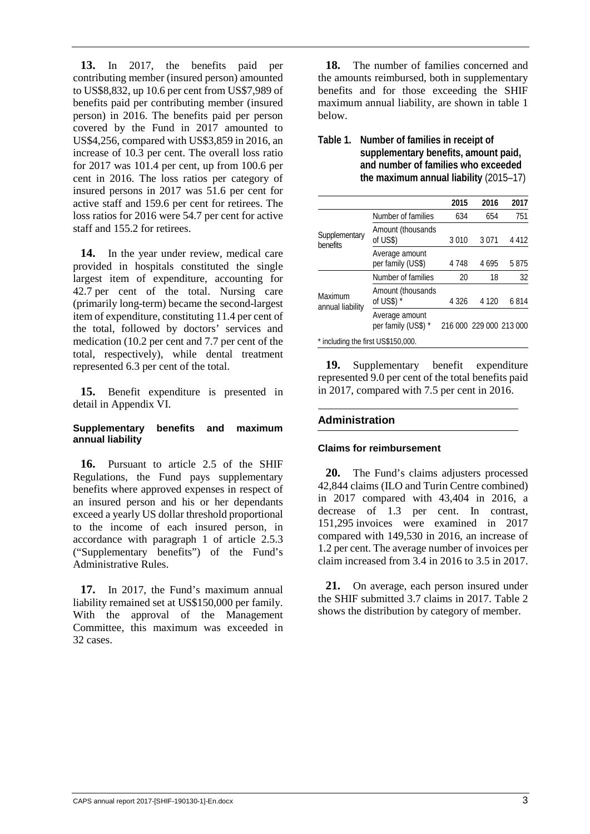**13.** In 2017, the benefits paid per contributing member (insured person) amounted to US\$8,832, up 10.6 per cent from US\$7,989 of benefits paid per contributing member (insured person) in 2016. The benefits paid per person covered by the Fund in 2017 amounted to US\$4,256, compared with US\$3,859 in 2016, an increase of 10.3 per cent. The overall loss ratio for 2017 was 101.4 per cent, up from 100.6 per cent in 2016. The loss ratios per category of insured persons in 2017 was 51.6 per cent for active staff and 159.6 per cent for retirees. The loss ratios for 2016 were 54.7 per cent for active staff and 155.2 for retirees.

**14.** In the year under review, medical care provided in hospitals constituted the single largest item of expenditure, accounting for 42.7 per cent of the total. Nursing care (primarily long-term) became the second-largest item of expenditure, constituting 11.4 per cent of the total, followed by doctors' services and medication (10.2 per cent and 7.7 per cent of the total, respectively), while dental treatment represented 6.3 per cent of the total.

**15.** Benefit expenditure is presented in detail in Appendix VI.

#### **Supplementary benefits and maximum annual liability**

**16.** Pursuant to article 2.5 of the SHIF Regulations, the Fund pays supplementary benefits where approved expenses in respect of an insured person and his or her dependants exceed a yearly US dollar threshold proportional to the income of each insured person, in accordance with paragraph 1 of article 2.5.3 ("Supplementary benefits") of the Fund's Administrative Rules.

**17.** In 2017, the Fund's maximum annual liability remained set at US\$150,000 per family. With the approval of the Management Committee, this maximum was exceeded in 32 cases.

**18.** The number of families concerned and the amounts reimbursed, both in supplementary benefits and for those exceeding the SHIF maximum annual liability, are shown in table 1 below.

### **Table 1. Number of families in receipt of supplementary benefits, amount paid, and number of families who exceeded the maximum annual liability** (2015–17)

|                                    |                                       | 2015    | 2016                    | 2017    |
|------------------------------------|---------------------------------------|---------|-------------------------|---------|
|                                    | Number of families                    | 634     | 654                     | 751     |
| Supplementary<br>benefits          | Amount (thousands<br>of US\$)         | 3010    | 3 0 7 1                 | 4 4 1 2 |
|                                    | Average amount<br>per family (US\$)   | 4 7 4 8 | 4695                    | 5875    |
|                                    | Number of families                    | 20      | 18                      | 32      |
| Maximum<br>annual liability        | Amount (thousands<br>of US\$) $*$     | 4 3 2 6 | 4 1 2 0                 | 6814    |
|                                    | Average amount<br>per family (US\$) * |         | 216 000 229 000 213 000 |         |
| * including the first US\$150,000. |                                       |         |                         |         |

**19.** Supplementary benefit expenditure represented 9.0 per cent of the total benefits paid in 2017, compared with 7.5 per cent in 2016.

### **Administration**

#### **Claims for reimbursement**

**20.** The Fund's claims adjusters processed 42,844 claims (ILO and Turin Centre combined) in 2017 compared with 43,404 in 2016, a decrease of 1.3 per cent. In contrast, 151,295 invoices were examined in 2017 compared with 149,530 in 2016, an increase of 1.2 per cent. The average number of invoices per claim increased from 3.4 in 2016 to 3.5 in 2017.

**21.** On average, each person insured under the SHIF submitted 3.7 claims in 2017. Table 2 shows the distribution by category of member.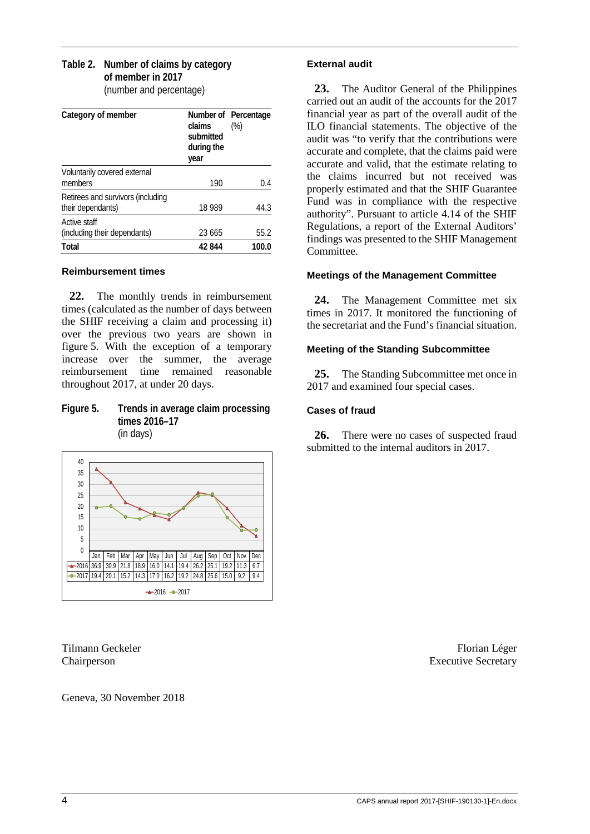#### **Table 2. Number of claims by category of member in 2017** (number and percentage)

| Category of member                | claims<br>submitted<br>during the<br>year | Number of Percentage<br>$(\%)$ |
|-----------------------------------|-------------------------------------------|--------------------------------|
| Voluntarily covered external      |                                           |                                |
| members                           | 190                                       | 0.4                            |
| Retirees and survivors (including |                                           |                                |
| their dependants)                 | 18 989                                    | 44.3                           |
| Active staff                      |                                           |                                |
| (including their dependants)      | 23 665                                    | 55.2                           |
| Total                             | 42844                                     | 100.0                          |

#### **Reimbursement times**

**22.** The monthly trends in reimbursement times (calculated as the number of days between the SHIF receiving a claim and processing it) over the previous two years are shown in figure 5. With the exception of a temporary increase over the summer, the average reimbursement time remained reasonable throughout 2017, at under 20 days.

#### **Figure 5. Trends in average claim processing times 2016–17** (in days)



Geneva, 30 November 2018

#### **External audit**

**23.** The Auditor General of the Philippines carried out an audit of the accounts for the 2017 financial year as part of the overall audit of the ILO financial statements. The objective of the audit was "to verify that the contributions were accurate and complete, that the claims paid were accurate and valid, that the estimate relating to the claims incurred but not received was properly estimated and that the SHIF Guarantee Fund was in compliance with the respective authority". Pursuant to article 4.14 of the SHIF Regulations, a report of the External Auditors' findings was presented to the SHIF Management Committee.

#### **Meetings of the Management Committee**

24. The Management Committee met six times in 2017. It monitored the functioning of the secretariat and the Fund's financial situation.

#### **Meeting of the Standing Subcommittee**

**25.** The Standing Subcommittee met once in 2017 and examined four special cases.

### **Cases of fraud**

**26.** There were no cases of suspected fraud submitted to the internal auditors in 2017.

Tilmann Geckeler Florian Léger Florian Léger Chairperson Executive Secretary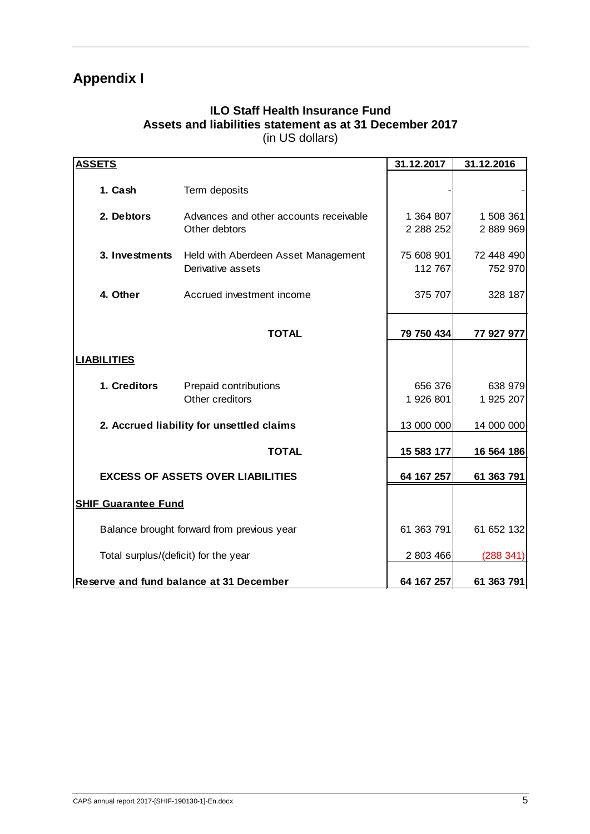# **Appendix I**

## **ILO Staff Health Insurance Fund Assets and liabilities statement as at 31 December 2017** (in US dollars)

| <b>ASSETS</b>                              |                                                          | 31.12.2017             | 31.12.2016             |
|--------------------------------------------|----------------------------------------------------------|------------------------|------------------------|
| 1. Cash                                    | Term deposits                                            |                        |                        |
| 2. Debtors                                 | Advances and other accounts receivable<br>Other debtors  | 1 364 807<br>2 288 252 | 1 508 361<br>2 889 969 |
| 3. Investments                             | Held with Aberdeen Asset Management<br>Derivative assets | 75 608 901<br>112 767  | 72 448 490<br>752 970  |
| 4. Other                                   | Accrued investment income                                | 375 707                | 328 187                |
|                                            | <b>TOTAL</b>                                             | 79 750 434             | 77 927 977             |
| <b>LIABILITIES</b>                         |                                                          |                        |                        |
| 1. Creditors                               | Prepaid contributions<br>Other creditors                 | 656 376<br>1 926 801   | 638 979<br>1 925 207   |
|                                            | 2. Accrued liability for unsettled claims                | 13 000 000             | 14 000 000             |
|                                            | <b>TOTAL</b>                                             | 15 583 177             | 16 564 186             |
|                                            | <b>EXCESS OF ASSETS OVER LIABILITIES</b>                 | 64 167 257             | 61 363 791             |
| <b>SHIF Guarantee Fund</b>                 |                                                          |                        |                        |
| Balance brought forward from previous year | 61 363 791                                               | 61 652 132             |                        |
| Total surplus/(deficit) for the year       | 2 803 466                                                | (288 341)              |                        |
|                                            | Reserve and fund balance at 31 December                  | 64 167 257             | 61 363 791             |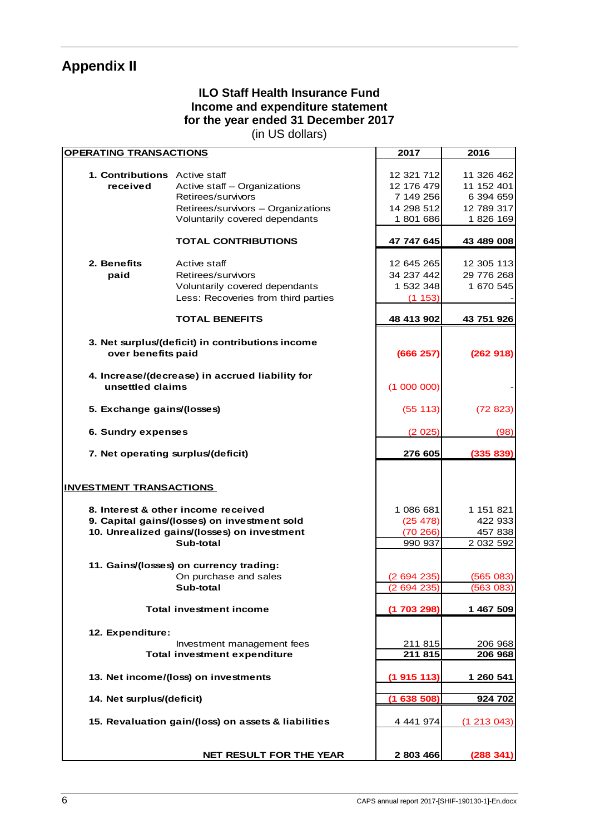# **Appendix II**

# **ILO Staff Health Insurance Fund Income and expenditure statement for the year ended 31 December 2017**

(in US dollars)

| <b>OPERATING TRANSACTIONS</b>        |                                                     | 2017        | 2016       |  |  |  |
|--------------------------------------|-----------------------------------------------------|-------------|------------|--|--|--|
|                                      |                                                     |             |            |  |  |  |
| <b>1. Contributions</b> Active staff |                                                     | 12 321 712  | 11 326 462 |  |  |  |
| received                             | Active staff - Organizations                        | 12 176 479  | 11 152 401 |  |  |  |
|                                      | Retirees/survivors                                  | 7 149 256   | 6 394 659  |  |  |  |
|                                      | Retirees/survivors - Organizations                  | 14 298 512  | 12 789 317 |  |  |  |
|                                      | Voluntarily covered dependants                      | 1 801 686   | 1826 169   |  |  |  |
|                                      | <b>TOTAL CONTRIBUTIONS</b>                          | 47 747 645  | 43 489 008 |  |  |  |
|                                      |                                                     |             |            |  |  |  |
| 2. Benefits                          | Active staff                                        | 12 645 265  | 12 305 113 |  |  |  |
| paid                                 | Retirees/survivors                                  | 34 237 442  | 29 776 268 |  |  |  |
|                                      | Voluntarily covered dependants                      | 1 532 348   | 1 670 545  |  |  |  |
|                                      | Less: Recoveries from third parties                 | (1153)      |            |  |  |  |
|                                      |                                                     |             |            |  |  |  |
|                                      | <b>TOTAL BENEFITS</b>                               | 48 413 902  | 43 751 926 |  |  |  |
|                                      | 3. Net surplus/(deficit) in contributions income    |             |            |  |  |  |
| over benefits paid                   |                                                     | (666 257)   | (262918)   |  |  |  |
|                                      |                                                     |             |            |  |  |  |
|                                      | 4. Increase/(decrease) in accrued liability for     |             |            |  |  |  |
| unsettled claims                     |                                                     | (1000000)   |            |  |  |  |
| 5. Exchange gains/(losses)           |                                                     | (55 113)    | (72823)    |  |  |  |
|                                      |                                                     |             |            |  |  |  |
|                                      | 6. Sundry expenses                                  |             |            |  |  |  |
| 7. Net operating surplus/(deficit)   | 276 605                                             | (335 839)   |            |  |  |  |
|                                      |                                                     |             |            |  |  |  |
|                                      |                                                     |             |            |  |  |  |
| <b>INVESTMENT TRANSACTIONS</b>       |                                                     |             |            |  |  |  |
|                                      | 8. Interest & other income received                 | 1 086 681   | 1 151 821  |  |  |  |
|                                      | 9. Capital gains/(losses) on investment sold        | (25 478)    | 422 933    |  |  |  |
|                                      | 10. Unrealized gains/(losses) on investment         | (70266)     | 457 838    |  |  |  |
|                                      | Sub-total                                           | 990 937     | 2 032 592  |  |  |  |
|                                      |                                                     |             |            |  |  |  |
|                                      | 11. Gains/(losses) on currency trading:             |             |            |  |  |  |
|                                      | On purchase and sales                               | (2694235)   | (565083)   |  |  |  |
|                                      | Sub-total                                           | (2694235)   | (563 083)  |  |  |  |
|                                      |                                                     |             |            |  |  |  |
|                                      | <b>Total investment income</b>                      | (1 703 298) | 1 467 509  |  |  |  |
|                                      |                                                     |             |            |  |  |  |
| 12. Expenditure:                     |                                                     |             |            |  |  |  |
|                                      | Investment management fees                          | 211 815     | 206 968    |  |  |  |
|                                      | <b>Total investment expenditure</b>                 | 211 815     | 206 968    |  |  |  |
|                                      | 13. Net income/(loss) on investments                |             | 1 260 541  |  |  |  |
|                                      |                                                     | (1915113)   |            |  |  |  |
| 14. Net surplus/(deficit)            |                                                     | (1638508)   | 924 702    |  |  |  |
|                                      |                                                     |             |            |  |  |  |
|                                      | 15. Revaluation gain/(loss) on assets & liabilities |             |            |  |  |  |
|                                      |                                                     |             |            |  |  |  |
|                                      |                                                     |             |            |  |  |  |
|                                      | NET RESULT FOR THE YEAR                             | 2 803 466   | (288341)   |  |  |  |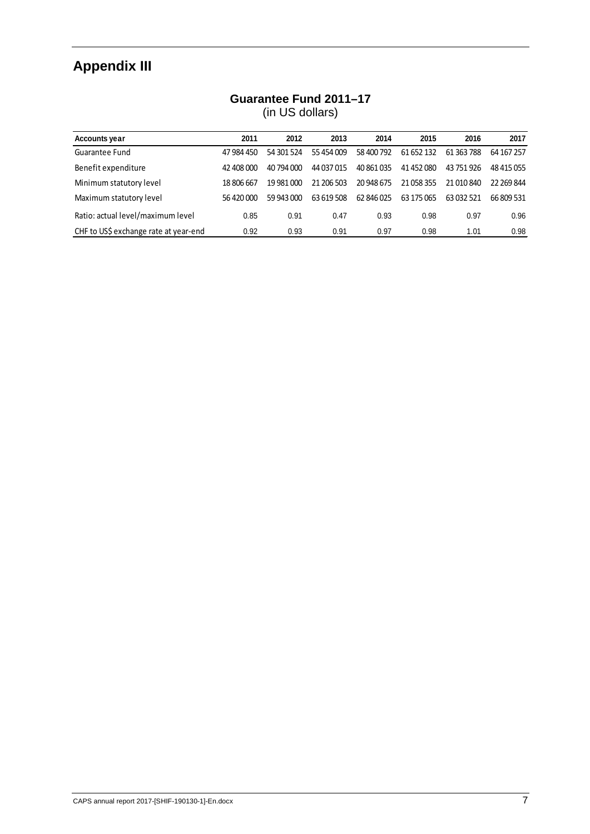# **Appendix III**

# **Guarantee Fund 2011–17**

(in US dollars)

| <b>Accounts year</b>                  | 2011       | 2012       | 2013       | 2014       | 2015       | 2016       | 2017       |
|---------------------------------------|------------|------------|------------|------------|------------|------------|------------|
| Guarantee Fund                        | 47 984 450 | 54 301 524 | 55454009   | 58 400 792 | 61 652 132 | 61 363 788 | 64 167 257 |
| Benefit expenditure                   | 42 408 000 | 40 794 000 | 44 037 015 | 40 861 035 | 41 452 080 | 43 751 926 | 48 415 055 |
| Minimum statutory level               | 18 806 667 | 19 981 000 | 21 206 503 | 20 948 675 | 21 058 355 | 21 010 840 | 22 269 844 |
| Maximum statutory level               | 56 420 000 | 59 943 000 | 63 619 508 | 62 846 025 | 63 175 065 | 63 032 521 | 66 809 531 |
| Ratio: actual level/maximum level     | 0.85       | 0.91       | 0.47       | 0.93       | 0.98       | 0.97       | 0.96       |
| CHF to US\$ exchange rate at year-end | 0.92       | 0.93       | 0.91       | 0.97       | 0.98       | 1.01       | 0.98       |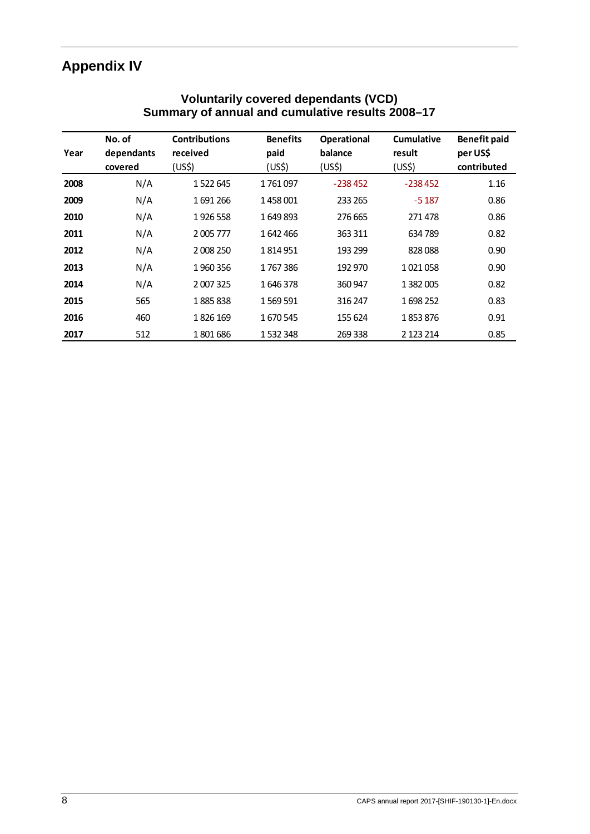# **Appendix IV**

|      | No. of     | <b>Contributions</b> | <b>Benefits</b> | <b>Operational</b> | <b>Cumulative</b> | <b>Benefit paid</b> |
|------|------------|----------------------|-----------------|--------------------|-------------------|---------------------|
| Year | dependants | received             | paid            | balance            | result            | per US\$            |
|      | covered    | (US\$)               | (US\$)          | (US\$)             | (US\$)            | contributed         |
| 2008 | N/A        | 1522645              | 1761097         | $-238452$          | $-238452$         | 1.16                |
| 2009 | N/A        | 1691266              | 1458001         | 233 265            | $-5187$           | 0.86                |
| 2010 | N/A        | 1926558              | 1649893         | 276 665            | 271478            | 0.86                |
| 2011 | N/A        | 2005777              | 1642466         | 363 311            | 634 789           | 0.82                |
| 2012 | N/A        | 2 008 250            | 1814951         | 193 299            | 828088            | 0.90                |
| 2013 | N/A        | 1960356              | 1767386         | 192 970            | 1021058           | 0.90                |
| 2014 | N/A        | 2 007 325            | 1646378         | 360 947            | 1 3 8 2 0 0 5     | 0.82                |
| 2015 | 565        | 1885838              | 1569591         | 316 247            | 1698252           | 0.83                |
| 2016 | 460        | 1826 169             | 1670545         | 155 624            | 1853876           | 0.91                |
| 2017 | 512        | 1801686              | 1532348         | 269 338            | 2 123 214         | 0.85                |

## **Voluntarily covered dependants (VCD) Summary of annual and cumulative results 2008–17**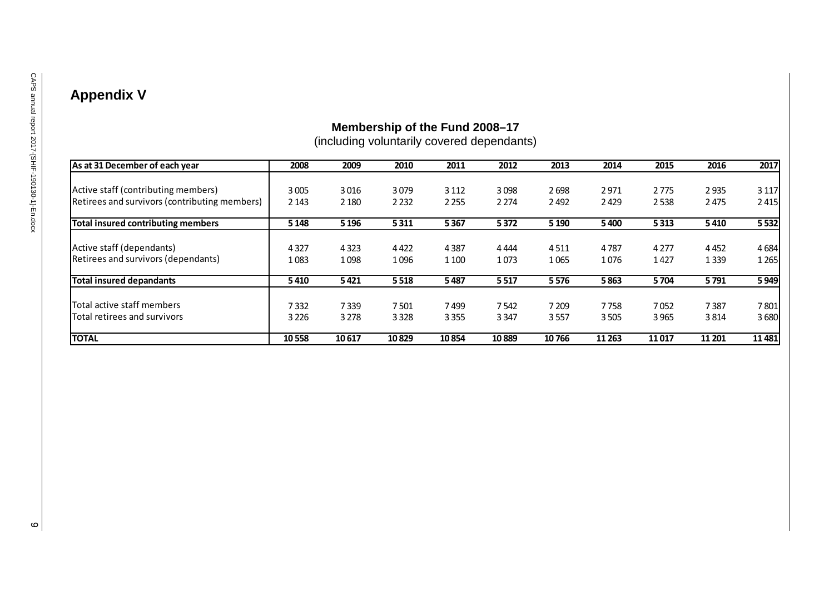# **Appendix V**

# **Membership of the Fund 2008–17**

(including voluntarily covered dependants)

| As at 31 December of each year                | 2008    | 2009    | 2010    | 2011    | 2012    | 2013    | 2014    | 2015    | 2016    | 2017    |
|-----------------------------------------------|---------|---------|---------|---------|---------|---------|---------|---------|---------|---------|
|                                               |         |         |         |         |         |         |         |         |         |         |
| Active staff (contributing members)           | 3005    | 3016    | 3079    | 3 1 1 2 | 3098    | 2698    | 2971    | 2775    | 2935    | 3 1 1 7 |
| Retirees and survivors (contributing members) | 2 1 4 3 | 2 1 8 0 | 2 2 3 2 | 2 2 5 5 | 2 2 7 4 | 2492    | 2429    | 2538    | 2475    | 2415    |
| <b>Total insured contributing members</b>     | 5 1 4 8 | 5 1 9 6 | 5311    | 5367    | 5372    | 5 1 9 0 | 5400    | 5313    | 5410    | 5532    |
| Active staff (dependants)                     | 4 3 2 7 | 4 3 2 3 | 4422    | 4387    | 4 4 4 4 | 4511    | 4787    | 4 2 7 7 | 4452    | 4684    |
| Retirees and survivors (dependants)           | 1083    | 1098    | 1096    | 1 1 0 0 | 1073    | 1065    | 1076    | 1427    | 1 3 3 9 | 1 2 6 5 |
| <b>Total insured depandants</b>               | 5410    | 5421    | 5518    | 5487    | 5517    | 5576    | 5863    | 5704    | 5791    | 5949    |
| Total active staff members                    | 7332    | 7339    | 7501    | 7499    | 7542    | 7 2 0 9 | 7758    | 7052    | 7387    | 7801    |
| Total retirees and survivors                  | 3 2 2 6 | 3 2 7 8 | 3328    | 3 3 5 5 | 3 3 4 7 | 3557    | 3505    | 3965    | 3814    | 3680    |
| <b>TOTAL</b>                                  | 10558   | 10617   | 10829   | 10854   | 10889   | 10766   | 11 2 63 | 11017   | 11 201  | 11481   |